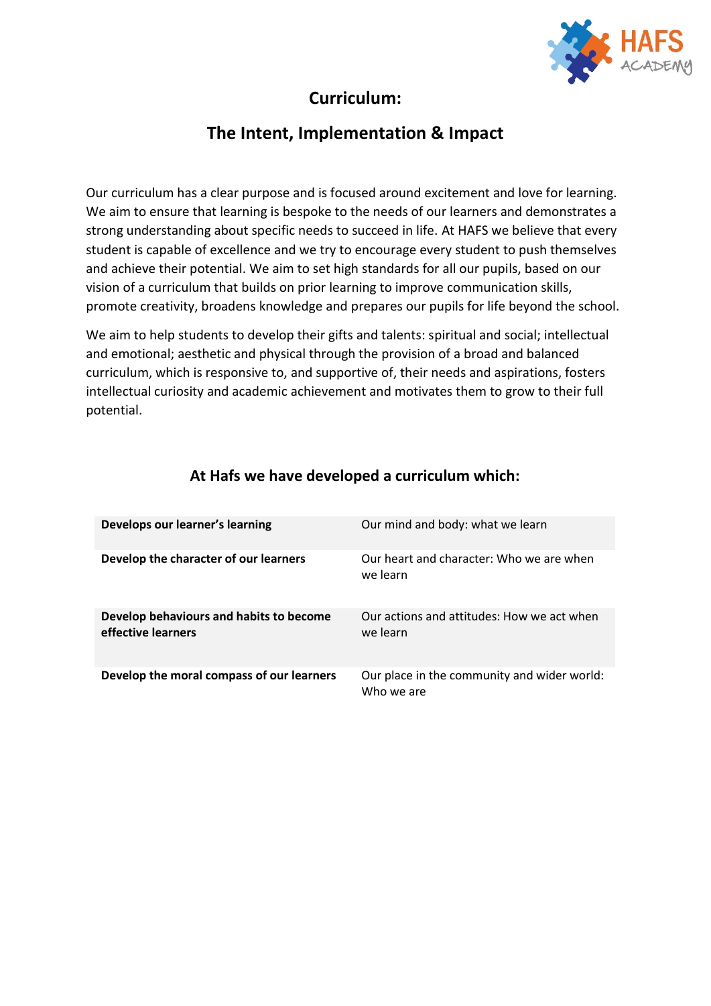

## **Curriculum:**

### **The Intent, Implementation & Impact**

Our curriculum has a clear purpose and is focused around excitement and love for learning. We aim to ensure that learning is bespoke to the needs of our learners and demonstrates a strong understanding about specific needs to succeed in life. At HAFS we believe that every student is capable of excellence and we try to encourage every student to push themselves and achieve their potential. We aim to set high standards for all our pupils, based on our vision of a curriculum that builds on prior learning to improve communication skills, promote creativity, broadens knowledge and prepares our pupils for life beyond the school.

We aim to help students to develop their gifts and talents: spiritual and social; intellectual and emotional; aesthetic and physical through the provision of a broad and balanced curriculum, which is responsive to, and supportive of, their needs and aspirations, fosters intellectual curiosity and academic achievement and motivates them to grow to their full potential.

| Develops our learner's learning                               | Our mind and body: what we learn                          |
|---------------------------------------------------------------|-----------------------------------------------------------|
| Develop the character of our learners                         | Our heart and character: Who we are when<br>we learn      |
| Develop behaviours and habits to become<br>effective learners | Our actions and attitudes: How we act when<br>we learn    |
| Develop the moral compass of our learners                     | Our place in the community and wider world:<br>Who we are |

#### **At Hafs we have developed a curriculum which:**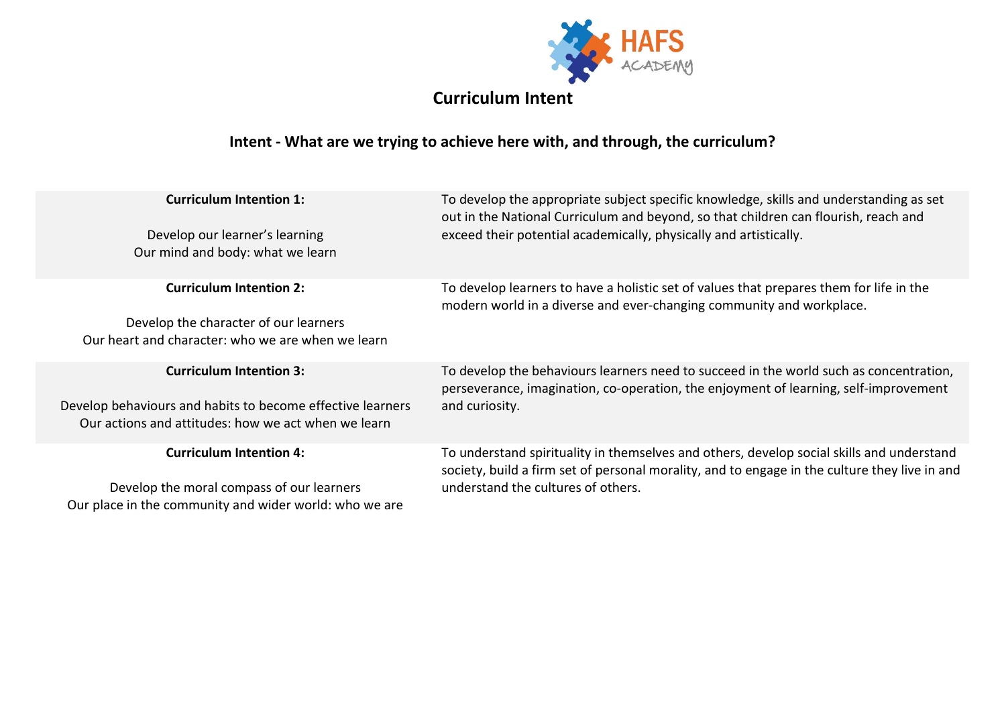

# **Curriculum Intent**

## **Intent - What are we trying to achieve here with, and through, the curriculum?**

| <b>Curriculum Intention 1:</b><br>Develop our learner's learning<br>Our mind and body: what we learn              | To develop the appropriate subject specific knowledge, skills and understanding as set<br>out in the National Curriculum and beyond, so that children can flourish, reach and<br>exceed their potential academically, physically and artistically. |  |
|-------------------------------------------------------------------------------------------------------------------|----------------------------------------------------------------------------------------------------------------------------------------------------------------------------------------------------------------------------------------------------|--|
| <b>Curriculum Intention 2:</b>                                                                                    | To develop learners to have a holistic set of values that prepares them for life in the<br>modern world in a diverse and ever-changing community and workplace.                                                                                    |  |
| Develop the character of our learners                                                                             |                                                                                                                                                                                                                                                    |  |
| Our heart and character: who we are when we learn                                                                 |                                                                                                                                                                                                                                                    |  |
| <b>Curriculum Intention 3:</b>                                                                                    | To develop the behaviours learners need to succeed in the world such as concentration,<br>perseverance, imagination, co-operation, the enjoyment of learning, self-improvement                                                                     |  |
| Develop behaviours and habits to become effective learners<br>Our actions and attitudes: how we act when we learn | and curiosity.                                                                                                                                                                                                                                     |  |
| <b>Curriculum Intention 4:</b>                                                                                    | To understand spirituality in themselves and others, develop social skills and understand<br>society, build a firm set of personal morality, and to engage in the culture they live in and<br>understand the cultures of others.                   |  |
| Develop the moral compass of our learners<br>Our place in the community and wider world: who we are               |                                                                                                                                                                                                                                                    |  |
|                                                                                                                   |                                                                                                                                                                                                                                                    |  |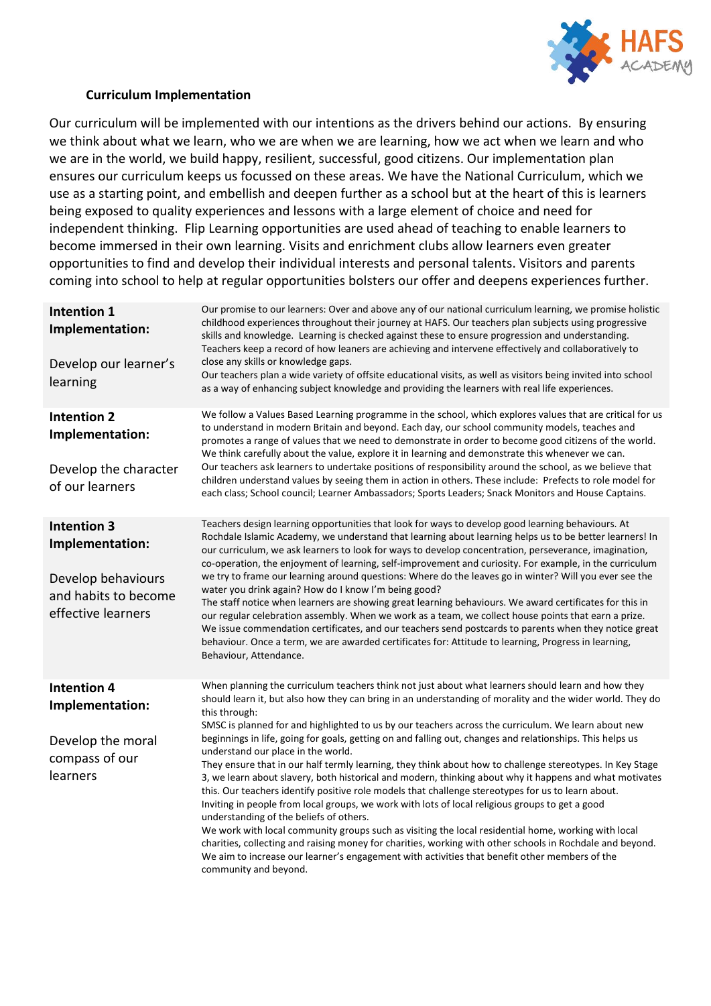

#### **Curriculum Implementation**

Our curriculum will be implemented with our intentions as the drivers behind our actions. By ensuring we think about what we learn, who we are when we are learning, how we act when we learn and who we are in the world, we build happy, resilient, successful, good citizens. Our implementation plan ensures our curriculum keeps us focussed on these areas. We have the National Curriculum, which we use as a starting point, and embellish and deepen further as a school but at the heart of this is learners being exposed to quality experiences and lessons with a large element of choice and need for independent thinking. Flip Learning opportunities are used ahead of teaching to enable learners to become immersed in their own learning. Visits and enrichment clubs allow learners even greater opportunities to find and develop their individual interests and personal talents. Visitors and parents coming into school to help at regular opportunities bolsters our offer and deepens experiences further.

| Intention 1<br>Implementation:<br>Develop our learner's<br>learning                                       | Our promise to our learners: Over and above any of our national curriculum learning, we promise holistic<br>childhood experiences throughout their journey at HAFS. Our teachers plan subjects using progressive<br>skills and knowledge. Learning is checked against these to ensure progression and understanding.<br>Teachers keep a record of how leaners are achieving and intervene effectively and collaboratively to<br>close any skills or knowledge gaps.<br>Our teachers plan a wide variety of offsite educational visits, as well as visitors being invited into school<br>as a way of enhancing subject knowledge and providing the learners with real life experiences.                                                                                                                                                                                                                                                                                                                                                                                                                                                                                                                                                                                                                               |
|-----------------------------------------------------------------------------------------------------------|----------------------------------------------------------------------------------------------------------------------------------------------------------------------------------------------------------------------------------------------------------------------------------------------------------------------------------------------------------------------------------------------------------------------------------------------------------------------------------------------------------------------------------------------------------------------------------------------------------------------------------------------------------------------------------------------------------------------------------------------------------------------------------------------------------------------------------------------------------------------------------------------------------------------------------------------------------------------------------------------------------------------------------------------------------------------------------------------------------------------------------------------------------------------------------------------------------------------------------------------------------------------------------------------------------------------|
| <b>Intention 2</b><br>Implementation:<br>Develop the character<br>of our learners                         | We follow a Values Based Learning programme in the school, which explores values that are critical for us<br>to understand in modern Britain and beyond. Each day, our school community models, teaches and<br>promotes a range of values that we need to demonstrate in order to become good citizens of the world.<br>We think carefully about the value, explore it in learning and demonstrate this whenever we can.<br>Our teachers ask learners to undertake positions of responsibility around the school, as we believe that<br>children understand values by seeing them in action in others. These include: Prefects to role model for<br>each class; School council; Learner Ambassadors; Sports Leaders; Snack Monitors and House Captains.                                                                                                                                                                                                                                                                                                                                                                                                                                                                                                                                                              |
| <b>Intention 3</b><br>Implementation:<br>Develop behaviours<br>and habits to become<br>effective learners | Teachers design learning opportunities that look for ways to develop good learning behaviours. At<br>Rochdale Islamic Academy, we understand that learning about learning helps us to be better learners! In<br>our curriculum, we ask learners to look for ways to develop concentration, perseverance, imagination,<br>co-operation, the enjoyment of learning, self-improvement and curiosity. For example, in the curriculum<br>we try to frame our learning around questions: Where do the leaves go in winter? Will you ever see the<br>water you drink again? How do I know I'm being good?<br>The staff notice when learners are showing great learning behaviours. We award certificates for this in<br>our regular celebration assembly. When we work as a team, we collect house points that earn a prize.<br>We issue commendation certificates, and our teachers send postcards to parents when they notice great<br>behaviour. Once a term, we are awarded certificates for: Attitude to learning, Progress in learning,<br>Behaviour, Attendance.                                                                                                                                                                                                                                                     |
| <b>Intention 4</b><br>Implementation:<br>Develop the moral<br>compass of our<br>learners                  | When planning the curriculum teachers think not just about what learners should learn and how they<br>should learn it, but also how they can bring in an understanding of morality and the wider world. They do<br>this through:<br>SMSC is planned for and highlighted to us by our teachers across the curriculum. We learn about new<br>beginnings in life, going for goals, getting on and falling out, changes and relationships. This helps us<br>understand our place in the world.<br>They ensure that in our half termly learning, they think about how to challenge stereotypes. In Key Stage<br>3, we learn about slavery, both historical and modern, thinking about why it happens and what motivates<br>this. Our teachers identify positive role models that challenge stereotypes for us to learn about.<br>Inviting in people from local groups, we work with lots of local religious groups to get a good<br>understanding of the beliefs of others.<br>We work with local community groups such as visiting the local residential home, working with local<br>charities, collecting and raising money for charities, working with other schools in Rochdale and beyond.<br>We aim to increase our learner's engagement with activities that benefit other members of the<br>community and beyond. |